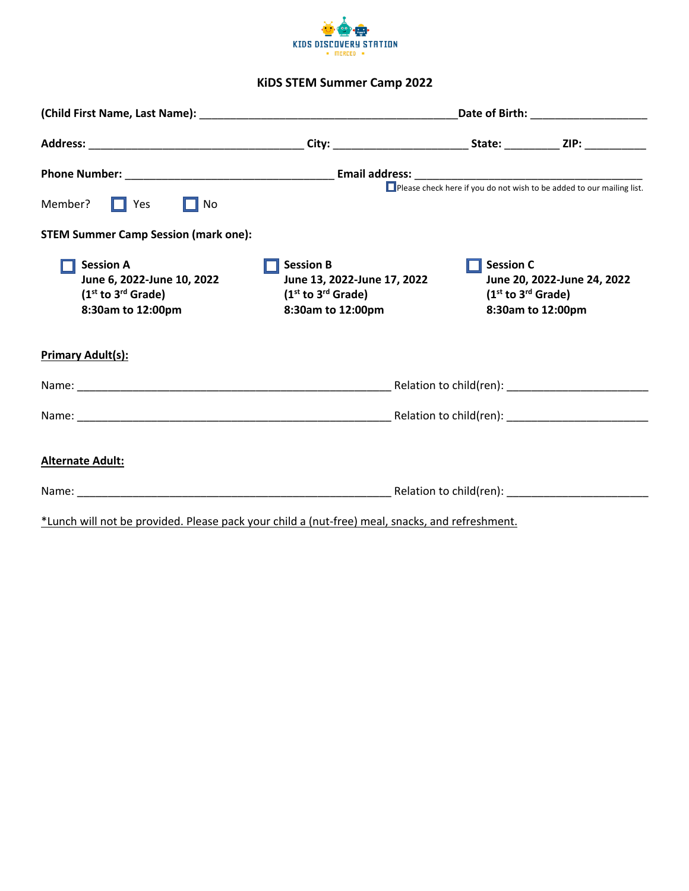

## **KiDS STEM Summer Camp 2022**

|                                                                                                         | Date of Birth: _______________________                                                                   |                                                      |                                                  |  |  |
|---------------------------------------------------------------------------------------------------------|----------------------------------------------------------------------------------------------------------|------------------------------------------------------|--------------------------------------------------|--|--|
|                                                                                                         |                                                                                                          |                                                      |                                                  |  |  |
|                                                                                                         |                                                                                                          |                                                      |                                                  |  |  |
| Member?<br>$\Box$ Yes<br>$\prod$ No                                                                     |                                                                                                          |                                                      |                                                  |  |  |
| <b>STEM Summer Camp Session (mark one):</b>                                                             |                                                                                                          |                                                      |                                                  |  |  |
| <b>Session A</b><br>June 6, 2022-June 10, 2022<br>$(1st$ to 3 <sup>rd</sup> Grade)<br>8:30am to 12:00pm | <b>Session B</b><br>June 13, 2022-June 17, 2022<br>$(1st$ to 3 <sup>rd</sup> Grade)<br>8:30am to 12:00pm | <b>Session C</b><br>$(1st$ to 3 <sup>rd</sup> Grade) | June 20, 2022-June 24, 2022<br>8:30am to 12:00pm |  |  |
| <b>Primary Adult(s):</b>                                                                                |                                                                                                          |                                                      |                                                  |  |  |
|                                                                                                         |                                                                                                          |                                                      |                                                  |  |  |
|                                                                                                         |                                                                                                          |                                                      |                                                  |  |  |
| <b>Alternate Adult:</b>                                                                                 |                                                                                                          |                                                      |                                                  |  |  |
|                                                                                                         |                                                                                                          |                                                      |                                                  |  |  |
| *Lunch will not be provided. Please pack your child a (nut-free) meal, snacks, and refreshment.         |                                                                                                          |                                                      |                                                  |  |  |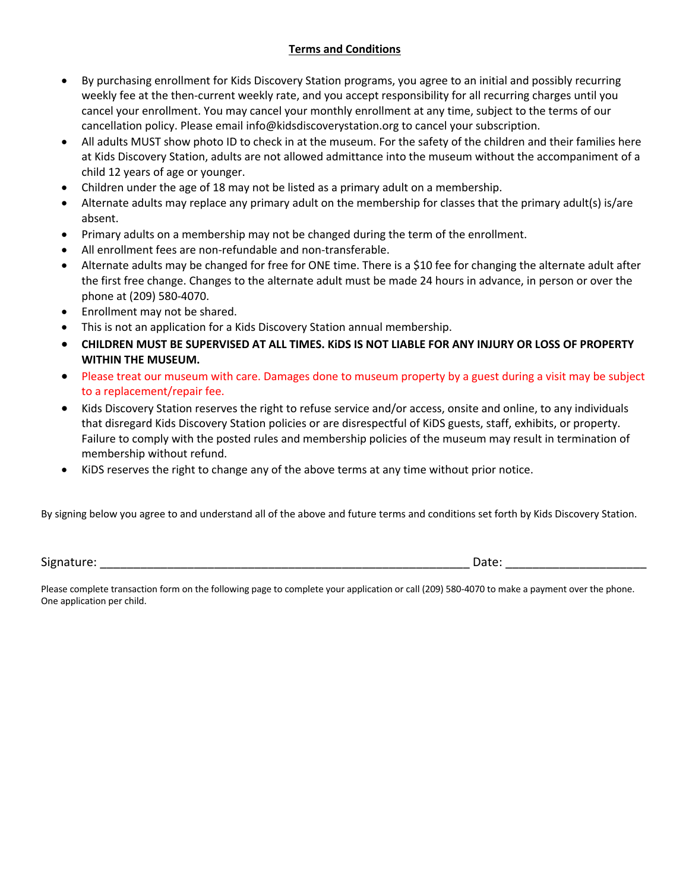## **Terms and Conditions**

- By purchasing enrollment for Kids Discovery Station programs, you agree to an initial and possibly recurring weekly fee at the then-current weekly rate, and you accept responsibility for all recurring charges until you cancel your enrollment. You may cancel your monthly enrollment at any time, subject to the terms of our cancellation policy. Please email info@kidsdiscoverystation.org to cancel your subscription.
- All adults MUST show photo ID to check in at the museum. For the safety of the children and their families here at Kids Discovery Station, adults are not allowed admittance into the museum without the accompaniment of a child 12 years of age or younger.
- Children under the age of 18 may not be listed as a primary adult on a membership.
- Alternate adults may replace any primary adult on the membership for classes that the primary adult(s) is/are absent.
- Primary adults on a membership may not be changed during the term of the enrollment.
- All enrollment fees are non-refundable and non-transferable.
- Alternate adults may be changed for free for ONE time. There is a \$10 fee for changing the alternate adult after the first free change. Changes to the alternate adult must be made 24 hours in advance, in person or over the phone at (209) 580-4070.
- Enrollment may not be shared.
- This is not an application for a Kids Discovery Station annual membership.
- **CHILDREN MUST BE SUPERVISED AT ALL TIMES. KiDS IS NOT LIABLE FOR ANY INJURY OR LOSS OF PROPERTY WITHIN THE MUSEUM.**
- Please treat our museum with care. Damages done to museum property by a guest during a visit may be subject to a replacement/repair fee.
- Kids Discovery Station reserves the right to refuse service and/or access, onsite and online, to any individuals that disregard Kids Discovery Station policies or are disrespectful of KiDS guests, staff, exhibits, or property. Failure to comply with the posted rules and membership policies of the museum may result in termination of membership without refund.
- KiDS reserves the right to change any of the above terms at any time without prior notice.

By signing below you agree to and understand all of the above and future terms and conditions set forth by Kids Discovery Station.

Signature: \_\_\_\_\_\_\_\_\_\_\_\_\_\_\_\_\_\_\_\_\_\_\_\_\_\_\_\_\_\_\_\_\_\_\_\_\_\_\_\_\_\_\_\_\_\_\_\_\_\_\_\_\_\_\_ Date: \_\_\_\_\_\_\_\_\_\_\_\_\_\_\_\_\_\_\_\_\_

Please complete transaction form on the following page to complete your application or call (209) 580-4070 to make a payment over the phone. One application per child.